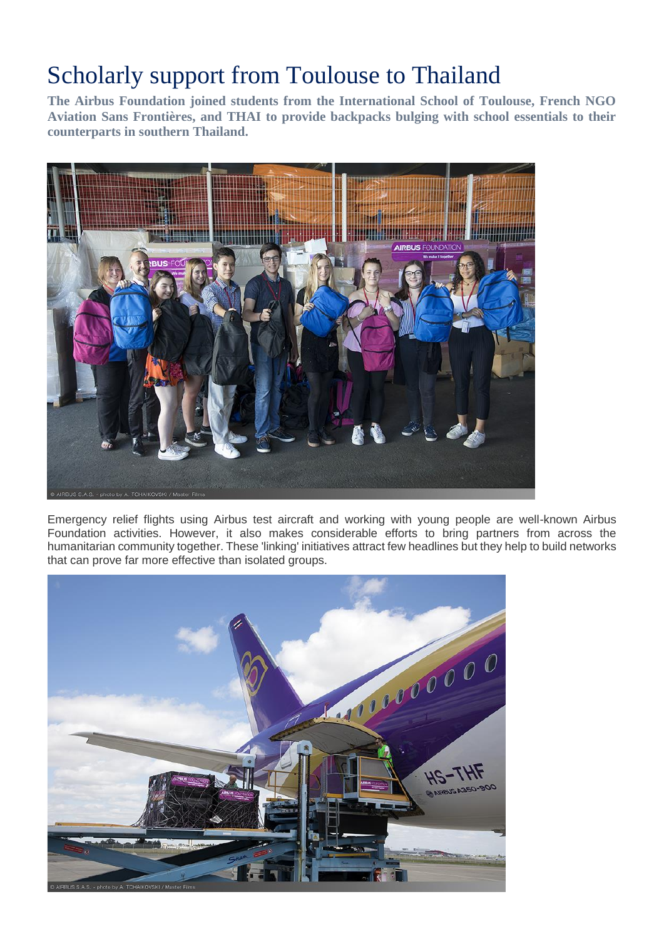## Scholarly support from Toulouse to Thailand

**The Airbus Foundation joined students from the International School of Toulouse, French NGO Aviation Sans Frontières, and THAI to provide backpacks bulging with school essentials to their counterparts in southern Thailand.**



Emergency relief flights using Airbus test aircraft and working with young people are well-known Airbus Foundation activities. However, it also makes considerable efforts to bring partners from across the humanitarian community together. These 'linking' initiatives attract few headlines but they help to build networks that can prove far more effective than isolated groups.